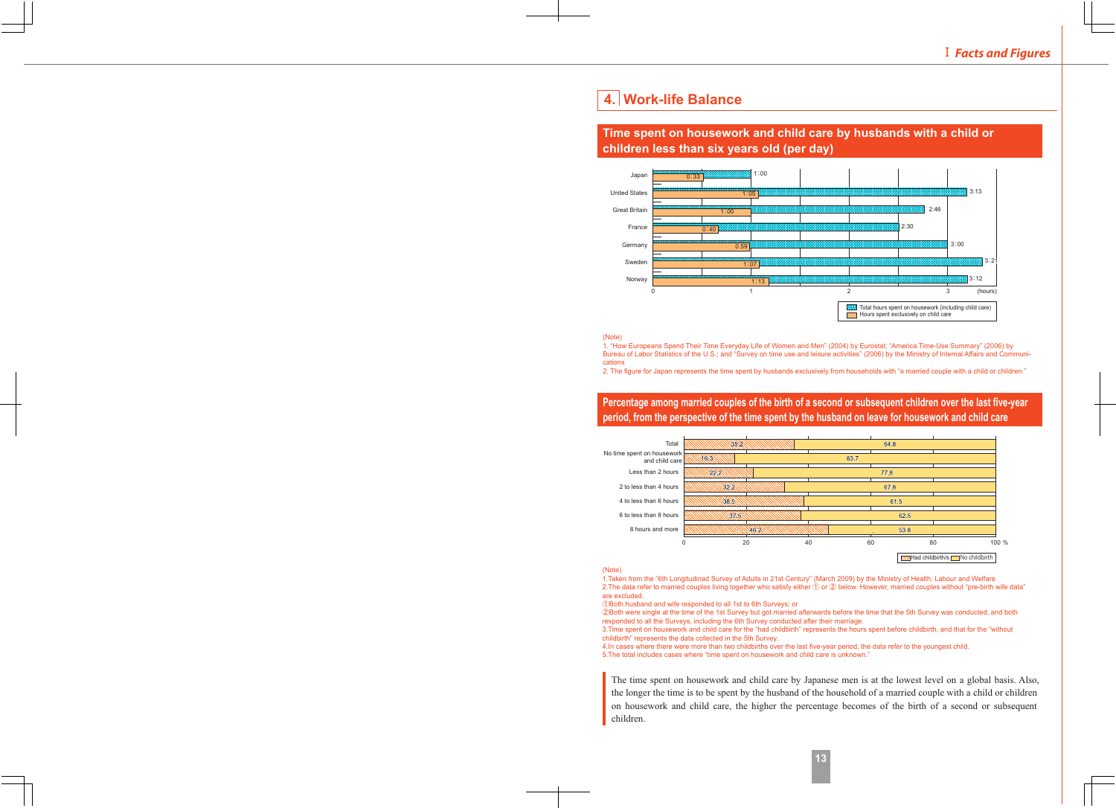# **4. Work-life Balance**

## **Time spent on housework and child care by husbands with a child or children less than six years old (per day)**



#### (Note)

1. "How Europeans Spend Their Time Everyday Life of Women and Men" (2004) by Eurostat; "America Time-Use Summary" (2006) by Bureau of Labor Statistics of the U.S.; and "Survey on time use and leisure activities" (2006) by the Ministry of Internal Affairs and Communications

2. The figure for Japan represents the time spent by husbands exclusively from households with "a married couple with a child or children."

**Percentage among married couples of the birth of a second or subsequent children over the last five-year period, from the perspective of the time spent by the husband on leave for housework and child care**



#### (Note)

1.Taken from the "6th Longitudinad Survey of Adults in 21st Century" (March 2009) by the Ministry of Health, Labour and Welfare 2. The data refer to married couples living together who satisfy either  $(1)$  or  $(2)$  below. However, married couples without "pre-birth wife data" are excluded.

①Both husband and wife responded to all 1st to 6th Surveys; or

ղBoth were single at the time of the 1st Survey but got married afterwards before the time that the 5th Survey was conducted, and both responded to all the Surveys, including the 6th Survey conducted after their marriage.

3.Time spent on housework and child care for the "had childbirth" represents the hours spent before childbirth, and that for the "without childbirth" represents the data collected in the 5th Survey.

4.In cases where there were more than two childbirths over the last five-year period, the data refer to the youngest child.

5.The total includes cases where "time spent on housework and child care is unknown."

The time spent on housework and child care by Japanese men is at the lowest level on a global basis. Also, the longer the time is to be spent by the husband of the household of a married couple with a child or children on housework and child care, the higher the percentage becomes of the birth of a second or subsequent children.